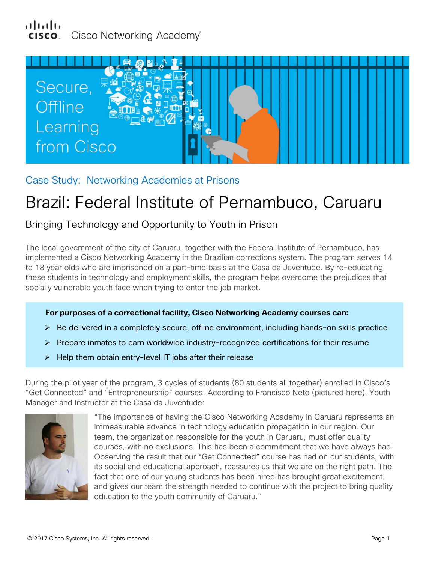

Case Study: Networking Academies at Prisons

# Brazil: Federal Institute of Pernambuco, Caruaru

# Bringing Technology and Opportunity to Youth in Prison

The local government of the city of Caruaru, together with the Federal Institute of Pernambuco, has implemented a Cisco Networking Academy in the Brazilian corrections system. The program serves 14 to 18 year olds who are imprisoned on a part-time basis at the Casa da Juventude. By re-educating these students in technology and employment skills, the program helps overcome the prejudices that socially vulnerable youth face when trying to enter the job market.

# **For purposes of a correctional facility, Cisco Networking Academy courses can:**

- $\triangleright$  Be delivered in a completely secure, offline environment, including hands-on skills practice
- $\triangleright$  Prepare inmates to earn worldwide industry-recognized certifications for their resume
- $\triangleright$  Help them obtain entry-level IT jobs after their release

During the pilot year of the program, 3 cycles of students (80 students all together) enrolled in Cisco's "Get Connected" and "Entrepreneurship" courses. According to Francisco Neto (pictured here), Youth Manager and Instructor at the Casa da Juventude:



"The importance of having the Cisco Networking Academy in Caruaru represents an immeasurable advance in technology education propagation in our region. Our team, the organization responsible for the youth in Caruaru, must offer quality courses, with no exclusions. This has been a commitment that we have always had. Observing the result that our "Get Connected" course has had on our students, with its social and educational approach, reassures us that we are on the right path. The fact that one of our young students has been hired has brought great excitement, and gives our team the strength needed to continue with the project to bring quality education to the youth community of Caruaru."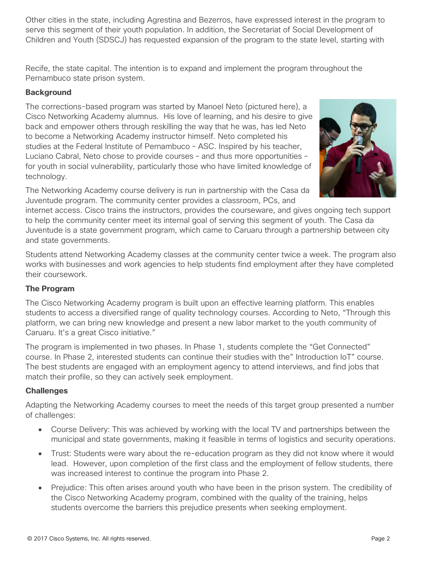Other cities in the state, including Agrestina and Bezerros, have expressed interest in the program to serve this segment of their youth population. In addition, the Secretariat of Social Development of Children and Youth (SDSCJ) has requested expansion of the program to the state level, starting with

Recife, the state capital. The intention is to expand and implement the program throughout the Pernambuco state prison system.

### **Background**

The corrections-based program was started by Manoel Neto (pictured here), a Cisco Networking Academy alumnus. His love of learning, and his desire to give back and empower others through reskilling the way that he was, has led Neto to become a Networking Academy instructor himself. Neto completed his studies at the Federal Institute of Pernambuco – ASC. Inspired by his teacher, Luciano Cabral, Neto chose to provide courses – and thus more opportunities – for youth in social vulnerability, particularly those who have limited knowledge of technology.



The Networking Academy course delivery is run in partnership with the Casa da Juventude program. The community center provides a classroom, PCs, and

internet access. Cisco trains the instructors, provides the courseware, and gives ongoing tech support to help the community center meet its internal goal of serving this segment of youth. The Casa da Juventude is a state government program, which came to Caruaru through a partnership between city and state governments.

Students attend Networking Academy classes at the community center twice a week. The program also works with businesses and work agencies to help students find employment after they have completed their coursework.

### **The Program**

The Cisco Networking Academy program is built upon an effective learning platform. This enables students to access a diversified range of quality technology courses. According to Neto, "Through this platform, we can bring new knowledge and present a new labor market to the youth community of Caruaru. It's a great Cisco initiative."

The program is implemented in two phases. In Phase 1, students complete the "Get Connected" course. In Phase 2, interested students can continue their studies with the" Introduction IoT" course. The best students are engaged with an employment agency to attend interviews, and find jobs that match their profile, so they can actively seek employment.

# **Challenges**

Adapting the Networking Academy courses to meet the needs of this target group presented a number of challenges:

- Course Delivery: This was achieved by working with the local TV and partnerships between the municipal and state governments, making it feasible in terms of logistics and security operations.
- Trust: Students were wary about the re-education program as they did not know where it would lead. However, upon completion of the first class and the employment of fellow students, there was increased interest to continue the program into Phase 2.
- Prejudice: This often arises around youth who have been in the prison system. The credibility of the Cisco Networking Academy program, combined with the quality of the training, helps students overcome the barriers this prejudice presents when seeking employment.